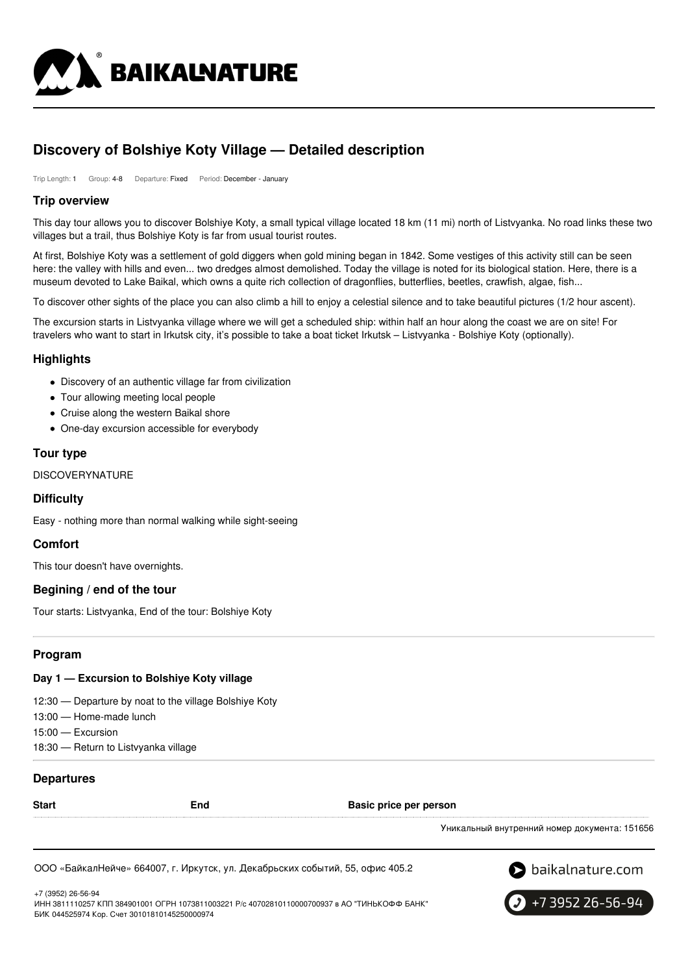

# **Discovery of Bolshiye Koty Village — Detailed description**

Trip Length: 1 Group: 4-8 Departure: Fixed Period: December - January

## **Trip overview**

This day tour allows you to discover Bolshiye Koty, a small typical village located 18 km (11 mi) north of Listvyanka. No road links these two villages but a trail, thus Bolshiye Koty is far from usual tourist routes.

At first, Bolshiye Koty was a settlement of gold diggers when gold mining began in 1842. Some vestiges of this activity still can be seen here: the valley with hills and even... two dredges almost demolished. Today the village is noted for its biological station. Here, there is a museum devoted to Lake Baikal, which owns a quite rich collection of dragonflies, butterflies, beetles, crawfish, algae, fish...

To discover other sights of the place you can also climb a hill to enjoy a celestial silence and to take beautiful pictures (1/2 hour ascent).

The excursion starts in Listvyanka village where we will get a scheduled ship: within half an hour along the coast we are on site! For travelers who want to start in Irkutsk city, it's possible to take a boat ticket Irkutsk – Listvyanka - Bolshiye Koty (optionally).

## **Highlights**

- Discovery of an authentic village far from civilization
- Tour allowing meeting local people
- Cruise along the western Baikal shore
- One-day excursion accessible for everybody

## **Tour type**

## **DISCOVERYNATURE**

### **Difficulty**

Easy - nothing more than normal walking while sight-seeing

## **Comfort**

This tour doesn't have overnights.

### **Begining / end of the tour**

Tour starts: Listvyanka, End of the tour: Bolshiye Koty

## **Program**

### **Day 1 — Excursion to Bolshiye Koty village**

12:30 — Departure by noat to the village Bolshiye Koty

- 13:00 Home-made lunch
- 15:00 Excursion
- 18:30 Return to Listvyanka village

### **Departures**

| <b>Start</b> | End | Basic price per person                        |
|--------------|-----|-----------------------------------------------|
|              |     | Уникальный внутренний номер документа: 151656 |

ООО «БайкалНейче» 664007, г. Иркутск, ул. Декабрьских событий, 55, офис 405.2



+7 (3952) 26-56-94 ИНН 3811110257 КПП 384901001 ОГРН 1073811003221 Р/с 40702810110000700937 в АО "ТИНЬКОФФ БАНК" БИК 044525974 Кор. Счет 30101810145250000974

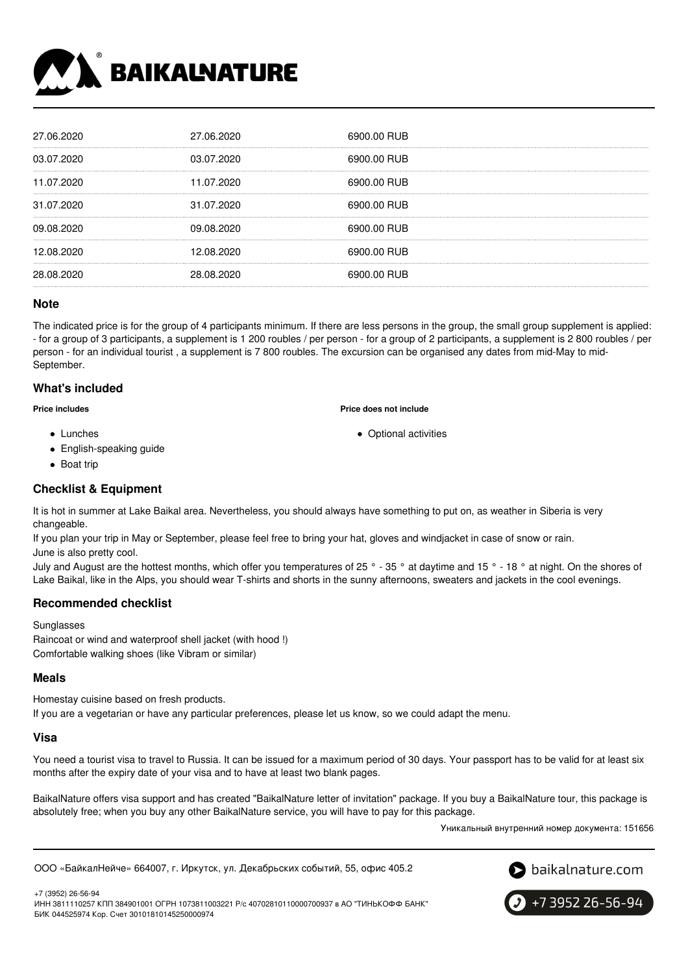

| 27.06.2020 | 27.06.2020 | 6900.00 RUB |
|------------|------------|-------------|
| 03.07.2020 | 03.07.2020 | 6900.00 RUB |
| 11.07.2020 | 11.07.2020 | 6900.00 RUB |
| 31.07.2020 | 31.07.2020 | 6900.00 RUB |
| 09.08.2020 | 09.08.2020 | 6900.00 RUB |
| 12.08.2020 | 12.08.2020 | 6900.00 RUB |
| 28.08.2020 | 28.08.2020 | 6900.00 RUB |
|            |            |             |

#### **Note**

The indicated price is for the group of 4 participants minimum. If there are less persons in the group, the small group supplement is applied: - for a group of 3 participants, a supplement is 1 200 roubles / per person - for a group of 2 participants, a supplement is 2 800 roubles / per person - for an individual tourist , a supplement is 7 800 roubles. The excursion can be organised any dates from mid-May to mid-September.

### **What's included**

**Price includes**

- Lunches
- English-speaking guide
- Boat trip

### **Checklist & Equipment**

It is hot in summer at Lake Baikal area. Nevertheless, you should always have something to put on, as weather in Siberia is very changeable.

If you plan your trip in May or September, please feel free to bring your hat, gloves and windjacket in case of snow or rain. June is also pretty cool.

July and August are the hottest months, which offer you temperatures of 25 ° - 35 ° at daytime and 15 ° - 18 ° at night. On the shores of Lake Baikal, like in the Alps, you should wear T-shirts and shorts in the sunny afternoons, sweaters and jackets in the cool evenings.

### **Recommended checklist**

Sunglasses Raincoat or wind and waterproof shell jacket (with hood !) Comfortable walking shoes (like Vibram or similar)

#### **Meals**

Homestay cuisine based on fresh products. If you are a vegetarian or have any particular preferences, please let us know, so we could adapt the menu.

#### **Visa**

You need a tourist visa to travel to Russia. It can be issued for a maximum period of 30 days. Your passport has to be valid for at least six months after the expiry date of your visa and to have at least two blank pages.

BaikalNature offers visa support and has created "BaikalNature letter of invitation" package. If you buy a BaikalNature tour, this package is absolutely free; when you buy any other BaikalNature service, you will have to pay for this package.

Уникальный внутренний номер документа: 151656

ООО «БайкалНейче» 664007, г. Иркутск, ул. Декабрьских событий, 55, офис 405.2



+7 (3952) 26-56-94



# **Price does not include**

Optional activities